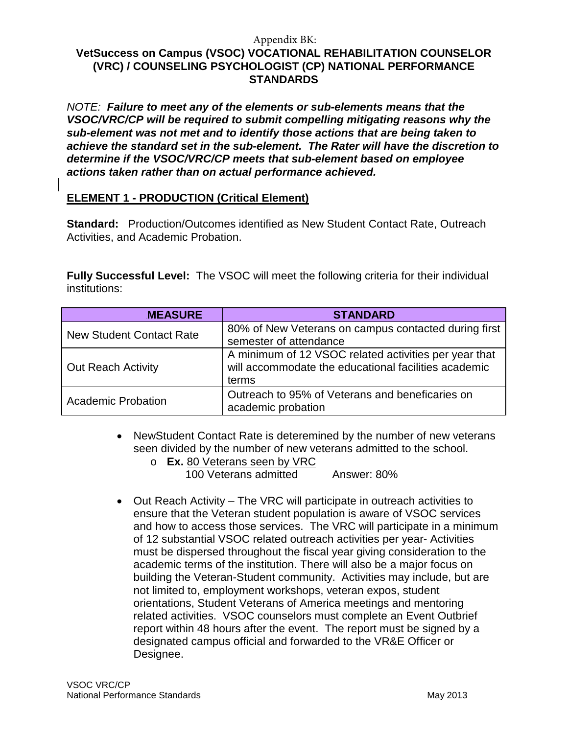*NOTE:**Failure to meet any of the elements or sub-elements means that the VSOC/VRC/CP will be required to submit compelling mitigating reasons why the sub-element was not met and to identify those actions that are being taken to achieve the standard set in the sub-element. The Rater will have the discretion to determine if the VSOC/VRC/CP meets that sub-element based on employee actions taken rather than on actual performance achieved.*

# **ELEMENT 1 - PRODUCTION (Critical Element)**

**Standard:** Production/Outcomes identified as New Student Contact Rate, Outreach Activities, and Academic Probation.

**Fully Successful Level:** The VSOC will meet the following criteria for their individual institutions:

| <b>MEASURE</b>                  | <b>STANDARD</b>                                                                                                        |
|---------------------------------|------------------------------------------------------------------------------------------------------------------------|
| <b>New Student Contact Rate</b> | 80% of New Veterans on campus contacted during first<br>semester of attendance                                         |
| <b>Out Reach Activity</b>       | A minimum of 12 VSOC related activities per year that<br>will accommodate the educational facilities academic<br>terms |
| <b>Academic Probation</b>       | Outreach to 95% of Veterans and beneficaries on<br>academic probation                                                  |

- NewStudent Contact Rate is deteremined by the number of new veterans seen divided by the number of new veterans admitted to the school.
	- o **Ex.** 80 Veterans seen by VRC 100 Veterans admitted Answer: 80%
- Out Reach Activity The VRC will participate in outreach activities to ensure that the Veteran student population is aware of VSOC services and how to access those services. The VRC will participate in a minimum of 12 substantial VSOC related outreach activities per year- Activities must be dispersed throughout the fiscal year giving consideration to the academic terms of the institution. There will also be a major focus on building the Veteran-Student community. Activities may include, but are not limited to, employment workshops, veteran expos, student orientations, Student Veterans of America meetings and mentoring related activities. VSOC counselors must complete an Event Outbrief report within 48 hours after the event. The report must be signed by a designated campus official and forwarded to the VR&E Officer or Designee.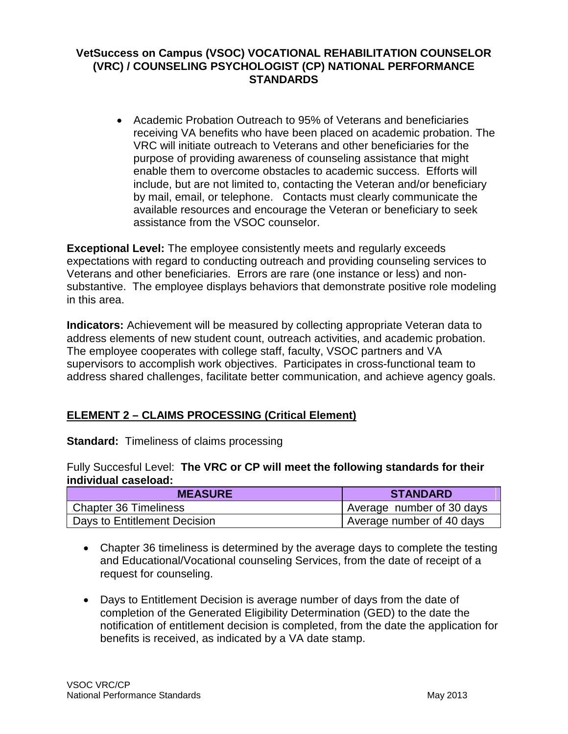• Academic Probation Outreach to 95% of Veterans and beneficiaries receiving VA benefits who have been placed on academic probation. The VRC will initiate outreach to Veterans and other beneficiaries for the purpose of providing awareness of counseling assistance that might enable them to overcome obstacles to academic success. Efforts will include, but are not limited to, contacting the Veteran and/or beneficiary by mail, email, or telephone. Contacts must clearly communicate the available resources and encourage the Veteran or beneficiary to seek assistance from the VSOC counselor.

**Exceptional Level:** The employee consistently meets and regularly exceeds expectations with regard to conducting outreach and providing counseling services to Veterans and other beneficiaries. Errors are rare (one instance or less) and nonsubstantive. The employee displays behaviors that demonstrate positive role modeling in this area.

**Indicators:** Achievement will be measured by collecting appropriate Veteran data to address elements of new student count, outreach activities, and academic probation. The employee cooperates with college staff, faculty, VSOC partners and VA supervisors to accomplish work objectives. Participates in cross-functional team to address shared challenges, facilitate better communication, and achieve agency goals.

# **ELEMENT 2 – CLAIMS PROCESSING (Critical Element)**

**Standard: Timeliness of claims processing** 

Fully Succesful Level: **The VRC or CP will meet the following standards for their individual caseload:** 

| <b>MEASURE</b>               | <b>STANDARD</b>           |
|------------------------------|---------------------------|
| Chapter 36 Timeliness        | Average number of 30 days |
| Days to Entitlement Decision | Average number of 40 days |

- Chapter 36 timeliness is determined by the average days to complete the testing and Educational/Vocational counseling Services, from the date of receipt of a request for counseling.
- Days to Entitlement Decision is average number of days from the date of completion of the Generated Eligibility Determination (GED) to the date the notification of entitlement decision is completed, from the date the application for benefits is received, as indicated by a VA date stamp.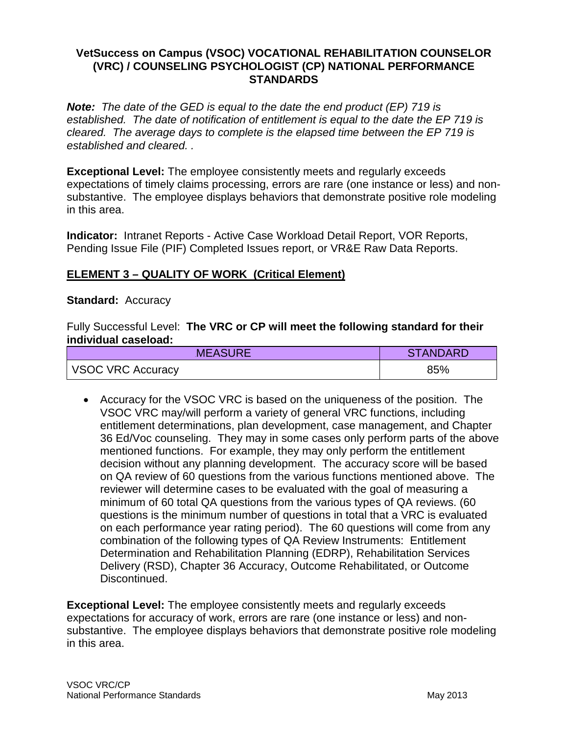*Note: The date of the GED is equal to the date the end product (EP) 719 is established. The date of notification of entitlement is equal to the date the EP 719 is cleared. The average days to complete is the elapsed time between the EP 719 is established and cleared. .*

**Exceptional Level:** The employee consistently meets and regularly exceeds expectations of timely claims processing, errors are rare (one instance or less) and nonsubstantive. The employee displays behaviors that demonstrate positive role modeling in this area.

**Indicator:** Intranet Reports - Active Case Workload Detail Report, VOR Reports, Pending Issue File (PIF) Completed Issues report, or VR&E Raw Data Reports.

### **ELEMENT 3 – QUALITY OF WORK (Critical Element)**

#### **Standard:** Accuracy

Fully Successful Level: **The VRC or CP will meet the following standard for their individual caseload:**

| <b>MEASURE</b>    | <b>STANDARD</b> |
|-------------------|-----------------|
| VSOC VRC Accuracy | 85%             |

• Accuracy for the VSOC VRC is based on the uniqueness of the position. The VSOC VRC may/will perform a variety of general VRC functions, including entitlement determinations, plan development, case management, and Chapter 36 Ed/Voc counseling. They may in some cases only perform parts of the above mentioned functions. For example, they may only perform the entitlement decision without any planning development. The accuracy score will be based on QA review of 60 questions from the various functions mentioned above. The reviewer will determine cases to be evaluated with the goal of measuring a minimum of 60 total QA questions from the various types of QA reviews. (60 questions is the minimum number of questions in total that a VRC is evaluated on each performance year rating period). The 60 questions will come from any combination of the following types of QA Review Instruments: Entitlement Determination and Rehabilitation Planning (EDRP), Rehabilitation Services Delivery (RSD), Chapter 36 Accuracy, Outcome Rehabilitated, or Outcome Discontinued.

**Exceptional Level:** The employee consistently meets and regularly exceeds expectations for accuracy of work, errors are rare (one instance or less) and nonsubstantive. The employee displays behaviors that demonstrate positive role modeling in this area.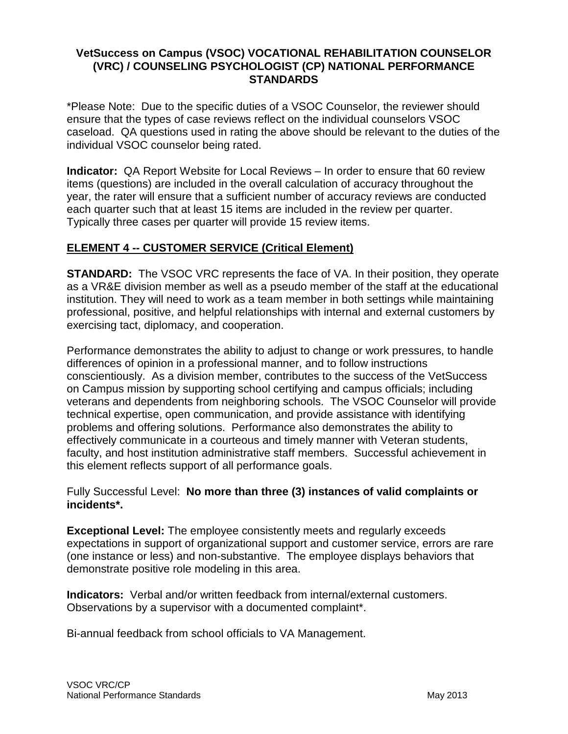\*Please Note: Due to the specific duties of a VSOC Counselor, the reviewer should ensure that the types of case reviews reflect on the individual counselors VSOC caseload. QA questions used in rating the above should be relevant to the duties of the individual VSOC counselor being rated.

**Indicator:** QA Report Website for Local Reviews – In order to ensure that 60 review items (questions) are included in the overall calculation of accuracy throughout the year, the rater will ensure that a sufficient number of accuracy reviews are conducted each quarter such that at least 15 items are included in the review per quarter. Typically three cases per quarter will provide 15 review items.

# **ELEMENT 4 -- CUSTOMER SERVICE (Critical Element)**

**STANDARD:** The VSOC VRC represents the face of VA. In their position, they operate as a VR&E division member as well as a pseudo member of the staff at the educational institution. They will need to work as a team member in both settings while maintaining professional, positive, and helpful relationships with internal and external customers by exercising tact, diplomacy, and cooperation.

Performance demonstrates the ability to adjust to change or work pressures, to handle differences of opinion in a professional manner, and to follow instructions conscientiously. As a division member, contributes to the success of the VetSuccess on Campus mission by supporting school certifying and campus officials; including veterans and dependents from neighboring schools. The VSOC Counselor will provide technical expertise, open communication, and provide assistance with identifying problems and offering solutions. Performance also demonstrates the ability to effectively communicate in a courteous and timely manner with Veteran students, faculty, and host institution administrative staff members. Successful achievement in this element reflects support of all performance goals.

#### Fully Successful Level: **No more than three (3) instances of valid complaints or incidents\*.**

**Exceptional Level:** The employee consistently meets and regularly exceeds expectations in support of organizational support and customer service, errors are rare (one instance or less) and non-substantive. The employee displays behaviors that demonstrate positive role modeling in this area.

**Indicators:** Verbal and/or written feedback from internal/external customers. Observations by a supervisor with a documented complaint\*.

Bi-annual feedback from school officials to VA Management.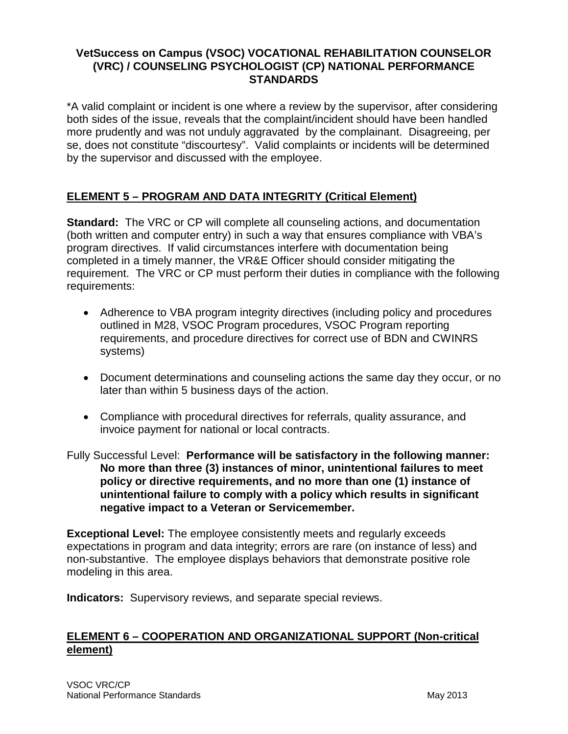\*A valid complaint or incident is one where a review by the supervisor, after considering both sides of the issue, reveals that the complaint/incident should have been handled more prudently and was not unduly aggravated by the complainant. Disagreeing, per se, does not constitute "discourtesy". Valid complaints or incidents will be determined by the supervisor and discussed with the employee.

# **ELEMENT 5 – PROGRAM AND DATA INTEGRITY (Critical Element)**

**Standard:** The VRC or CP will complete all counseling actions, and documentation (both written and computer entry) in such a way that ensures compliance with VBA's program directives. If valid circumstances interfere with documentation being completed in a timely manner, the VR&E Officer should consider mitigating the requirement. The VRC or CP must perform their duties in compliance with the following requirements:

- Adherence to VBA program integrity directives (including policy and procedures outlined in M28, VSOC Program procedures, VSOC Program reporting requirements, and procedure directives for correct use of BDN and CWINRS systems)
- Document determinations and counseling actions the same day they occur, or no later than within 5 business days of the action.
- Compliance with procedural directives for referrals, quality assurance, and invoice payment for national or local contracts.

Fully Successful Level: **Performance will be satisfactory in the following manner: No more than three (3) instances of minor, unintentional failures to meet policy or directive requirements, and no more than one (1) instance of unintentional failure to comply with a policy which results in significant negative impact to a Veteran or Servicemember.**

**Exceptional Level:** The employee consistently meets and regularly exceeds expectations in program and data integrity; errors are rare (on instance of less) and non-substantive. The employee displays behaviors that demonstrate positive role modeling in this area.

**Indicators:** Supervisory reviews, and separate special reviews.

# **ELEMENT 6 – COOPERATION AND ORGANIZATIONAL SUPPORT (Non-critical element)**